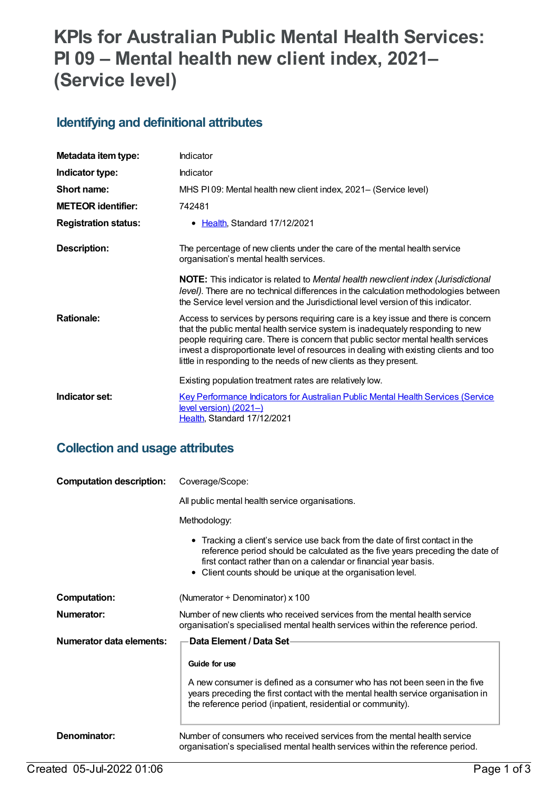# **KPIs for Australian Public Mental Health Services: PI 09 – Mental health new client index, 2021– (Service level)**

#### **Identifying and definitional attributes**

| Metadata item type:         | Indicator                                                                                                                                                                                                                                                                                                                                                                                                             |
|-----------------------------|-----------------------------------------------------------------------------------------------------------------------------------------------------------------------------------------------------------------------------------------------------------------------------------------------------------------------------------------------------------------------------------------------------------------------|
| Indicator type:             | Indicator                                                                                                                                                                                                                                                                                                                                                                                                             |
| Short name:                 | MHS PI09: Mental health new client index, 2021- (Service level)                                                                                                                                                                                                                                                                                                                                                       |
| <b>METEOR identifier:</b>   | 742481                                                                                                                                                                                                                                                                                                                                                                                                                |
| <b>Registration status:</b> | • Health, Standard 17/12/2021                                                                                                                                                                                                                                                                                                                                                                                         |
| Description:                | The percentage of new clients under the care of the mental health service<br>organisation's mental health services.                                                                                                                                                                                                                                                                                                   |
|                             | <b>NOTE:</b> This indicator is related to Mental health newclient index (Jurisdictional<br>level). There are no technical differences in the calculation methodologies between<br>the Service level version and the Jurisdictional level version of this indicator.                                                                                                                                                   |
| <b>Rationale:</b>           | Access to services by persons requiring care is a key issue and there is concern<br>that the public mental health service system is inadequately responding to new<br>people requiring care. There is concern that public sector mental health services<br>invest a disproportionate level of resources in dealing with existing clients and too<br>little in responding to the needs of new clients as they present. |
|                             | Existing population treatment rates are relatively low.                                                                                                                                                                                                                                                                                                                                                               |
| Indicator set:              | <b>Key Performance Indicators for Australian Public Mental Health Services (Service</b><br>level version) (2021-)<br>Health, Standard 17/12/2021                                                                                                                                                                                                                                                                      |

#### **Collection and usage attributes**

| <b>Computation description:</b> | Coverage/Scope:                                                                                                                                                                                                                                                                                  |  |
|---------------------------------|--------------------------------------------------------------------------------------------------------------------------------------------------------------------------------------------------------------------------------------------------------------------------------------------------|--|
|                                 | All public mental health service organisations.                                                                                                                                                                                                                                                  |  |
|                                 | Methodology:                                                                                                                                                                                                                                                                                     |  |
|                                 | • Tracking a client's service use back from the date of first contact in the<br>reference period should be calculated as the five years preceding the date of<br>first contact rather than on a calendar or financial year basis.<br>• Client counts should be unique at the organisation level. |  |
| <b>Computation:</b>             | (Numerator $\div$ Denominator) x 100                                                                                                                                                                                                                                                             |  |
| Numerator:                      | Number of new clients who received services from the mental health service<br>organisation's specialised mental health services within the reference period.                                                                                                                                     |  |
| Numerator data elements:        | Data Element / Data Set-                                                                                                                                                                                                                                                                         |  |
|                                 | Guide for use                                                                                                                                                                                                                                                                                    |  |
|                                 | A new consumer is defined as a consumer who has not been seen in the five<br>years preceding the first contact with the mental health service organisation in<br>the reference period (inpatient, residential or community).                                                                     |  |
| Denominator:                    | Number of consumers who received services from the mental health service<br>organisation's specialised mental health services within the reference period.                                                                                                                                       |  |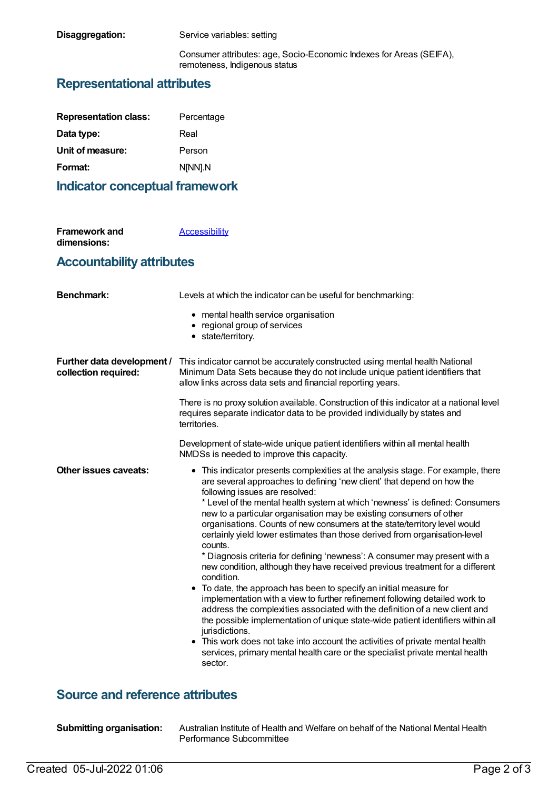**Disaggregation:** Service variables: setting

Consumer attributes: age, Socio-Economic Indexes for Areas (SEIFA), remoteness, Indigenous status

#### **Representational attributes**

| Percentage |
|------------|
| Real       |
| Person     |
| N[NN].N    |
|            |

#### **Indicator conceptual framework**

| <b>Framework and</b> | Accessibility |
|----------------------|---------------|
| dimensions:          |               |

#### **Accountability attributes**

| <b>Benchmark:</b>                                  | Levels at which the indicator can be useful for benchmarking:                                                                                                                                                                                                                                                                                                                                                                                                                                                                                                                                                                                                                                                                                                                                                                                                                                                                                                                                                                                                                                                                                                                                                                |
|----------------------------------------------------|------------------------------------------------------------------------------------------------------------------------------------------------------------------------------------------------------------------------------------------------------------------------------------------------------------------------------------------------------------------------------------------------------------------------------------------------------------------------------------------------------------------------------------------------------------------------------------------------------------------------------------------------------------------------------------------------------------------------------------------------------------------------------------------------------------------------------------------------------------------------------------------------------------------------------------------------------------------------------------------------------------------------------------------------------------------------------------------------------------------------------------------------------------------------------------------------------------------------------|
|                                                    | • mental health service organisation<br>• regional group of services<br>• state/territory.                                                                                                                                                                                                                                                                                                                                                                                                                                                                                                                                                                                                                                                                                                                                                                                                                                                                                                                                                                                                                                                                                                                                   |
| Further data development /<br>collection required: | This indicator cannot be accurately constructed using mental health National<br>Minimum Data Sets because they do not include unique patient identifiers that<br>allow links across data sets and financial reporting years.                                                                                                                                                                                                                                                                                                                                                                                                                                                                                                                                                                                                                                                                                                                                                                                                                                                                                                                                                                                                 |
|                                                    | There is no proxy solution available. Construction of this indicator at a national level<br>requires separate indicator data to be provided individually by states and<br>territories.                                                                                                                                                                                                                                                                                                                                                                                                                                                                                                                                                                                                                                                                                                                                                                                                                                                                                                                                                                                                                                       |
|                                                    | Development of state-wide unique patient identifiers within all mental health<br>NMDSs is needed to improve this capacity.                                                                                                                                                                                                                                                                                                                                                                                                                                                                                                                                                                                                                                                                                                                                                                                                                                                                                                                                                                                                                                                                                                   |
| Other issues caveats:                              | • This indicator presents complexities at the analysis stage. For example, there<br>are several approaches to defining 'new client' that depend on how the<br>following issues are resolved:<br>* Level of the mental health system at which 'newness' is defined: Consumers<br>new to a particular organisation may be existing consumers of other<br>organisations. Counts of new consumers at the state/territory level would<br>certainly yield lower estimates than those derived from organisation-level<br>counts.<br>* Diagnosis criteria for defining 'newness': A consumer may present with a<br>new condition, although they have received previous treatment for a different<br>condition.<br>• To date, the approach has been to specify an initial measure for<br>implementation with a view to further refinement following detailed work to<br>address the complexities associated with the definition of a new client and<br>the possible implementation of unique state-wide patient identifiers within all<br>jurisdictions.<br>• This work does not take into account the activities of private mental health<br>services, primary mental health care or the specialist private mental health<br>sector. |

### **Source and reference attributes**

| <b>Submitting organisation:</b> |
|---------------------------------|
|                                 |

**Submitting organisation:** Australian Institute of Health and Welfare on behalf of the National Mental Health Performance Subcommittee